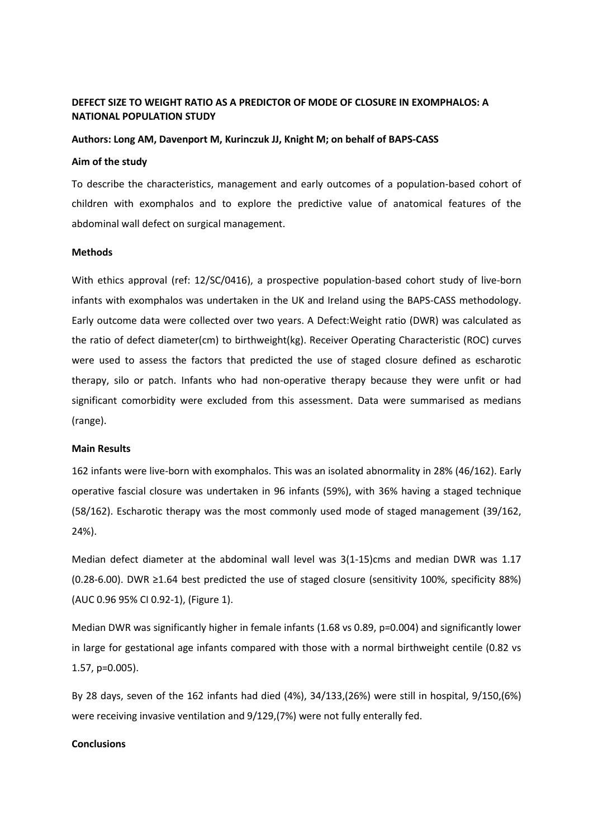# **DEFECT SIZE TO WEIGHT RATIO AS A PREDICTOR OF MODE OF CLOSURE IN EXOMPHALOS: A NATIONAL POPULATION STUDY**

### **Authors: Long AM, Davenport M, Kurinczuk JJ, Knight M; on behalf of BAPS-CASS**

#### **Aim of the study**

To describe the characteristics, management and early outcomes of a population-based cohort of children with exomphalos and to explore the predictive value of anatomical features of the abdominal wall defect on surgical management.

#### **Methods**

With ethics approval (ref: 12/SC/0416), a prospective population-based cohort study of live-born infants with exomphalos was undertaken in the UK and Ireland using the BAPS-CASS methodology. Early outcome data were collected over two years. A Defect:Weight ratio (DWR) was calculated as the ratio of defect diameter(cm) to birthweight(kg). Receiver Operating Characteristic (ROC) curves were used to assess the factors that predicted the use of staged closure defined as escharotic therapy, silo or patch. Infants who had non-operative therapy because they were unfit or had significant comorbidity were excluded from this assessment. Data were summarised as medians (range).

#### **Main Results**

162 infants were live-born with exomphalos. This was an isolated abnormality in 28% (46/162). Early operative fascial closure was undertaken in 96 infants (59%), with 36% having a staged technique (58/162). Escharotic therapy was the most commonly used mode of staged management (39/162, 24%).

Median defect diameter at the abdominal wall level was 3(1-15)cms and median DWR was 1.17 (0.28-6.00). DWR ≥1.64 best predicted the use of staged closure (sensitivity 100%, specificity 88%) (AUC 0.96 95% CI 0.92-1), (Figure 1).

Median DWR was significantly higher in female infants (1.68 vs 0.89, p=0.004) and significantly lower in large for gestational age infants compared with those with a normal birthweight centile (0.82 vs 1.57, p=0.005).

By 28 days, seven of the 162 infants had died (4%), 34/133,(26%) were still in hospital, 9/150,(6%) were receiving invasive ventilation and 9/129,(7%) were not fully enterally fed.

## **Conclusions**